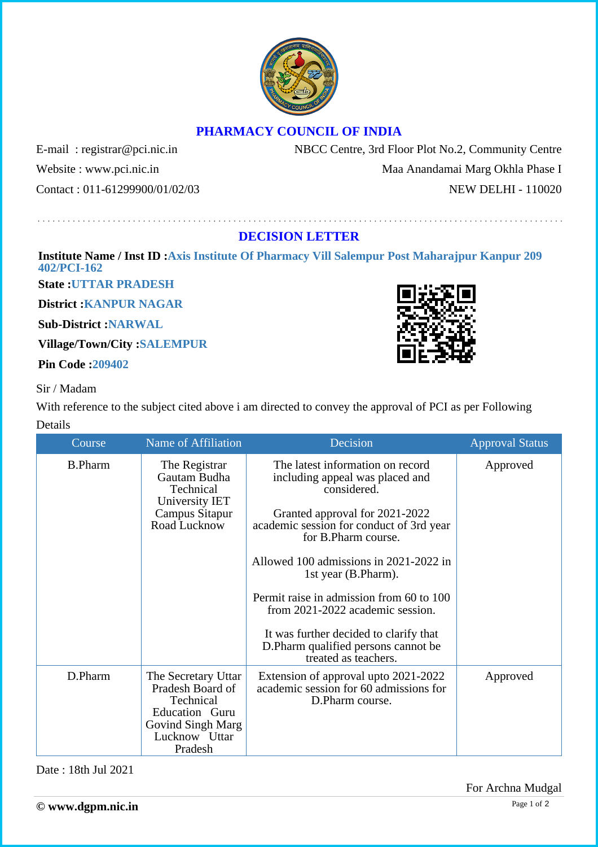

## **PHARMACY COUNCIL OF INDIA**

E-mail: registrar@pci.nic.in NBCC Centre, 3rd Floor Plot No.2, Community Centre Website : www.pci.nic.in Maa Anandamai Marg Okhla Phase I Contact : 011-61299900/01/02/03 NEW DELHI - 110020

**DECISION LETTER**

**Institute Name / Inst ID :Axis Institute Of Pharmacy Vill Salempur Post Maharajpur Kanpur 209 402/PCI-162**

**State :UTTAR PRADESH**

**District :KANPUR NAGAR**

**Sub-District :NARWAL**

**Village/Town/City :SALEMPUR**

**Pin Code :209402**

Sir / Madam

With reference to the subject cited above i am directed to convey the approval of PCI as per Following Details

| Course         | Name of Affiliation                                                                                                     | Decision                                                                                                                                                                                                                                                                                                                                                                                                                                           | <b>Approval Status</b> |
|----------------|-------------------------------------------------------------------------------------------------------------------------|----------------------------------------------------------------------------------------------------------------------------------------------------------------------------------------------------------------------------------------------------------------------------------------------------------------------------------------------------------------------------------------------------------------------------------------------------|------------------------|
| <b>B.Pharm</b> | The Registrar<br>Gautam Budha<br>Technical<br>University IET<br>Campus Sitapur<br>Road Lucknow                          | The latest information on record<br>including appeal was placed and<br>considered.<br>Granted approval for 2021-2022<br>academic session for conduct of 3rd year<br>for B.Pharm course.<br>Allowed 100 admissions in 2021-2022 in<br>1st year (B.Pharm).<br>Permit raise in admission from 60 to 100<br>from 2021-2022 academic session.<br>It was further decided to clarify that<br>D. Pharm qualified persons cannot be<br>treated as teachers. | Approved               |
| D.Pharm        | The Secretary Uttar<br>Pradesh Board of<br>Technical<br>Education Guru<br>Govind Singh Marg<br>Lucknow Uttar<br>Pradesh | Extension of approval upto 2021-2022<br>academic session for 60 admissions for<br>D.Pharm course.                                                                                                                                                                                                                                                                                                                                                  | Approved               |

Date : 18th Jul 2021

For Archna Mudgal

Page 1 of 2